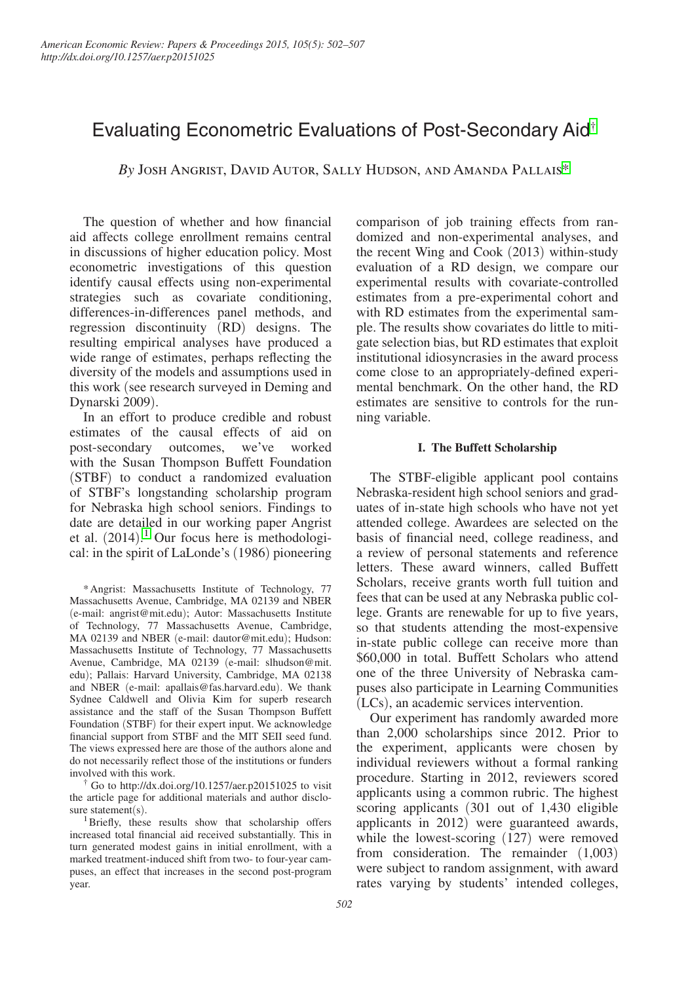# Evaluating Econometric Evaluations of Post-Secondary Aid†

*By* Josh Angrist, David Autor, Sally Hudson, and Amanda Pallais\*

The question of whether and how financial aid affects college enrollment remains central in discussions of higher education policy. Most econometric investigations of this question identify causal effects using non-experimental strategies such as covariate conditioning, differences-in-differences panel methods, and regression discontinuity (RD) designs. The resulting empirical analyses have produced a wide range of estimates, perhaps reflecting the diversity of the models and assumptions used in this work (see research surveyed in Deming and Dynarski 2009).

In an effort to produce credible and robust estimates of the causal effects of aid on post-secondary outcomes, we've worked with the Susan Thompson Buffett Foundation (STBF) to conduct a randomized evaluation of STBF's longstanding scholarship program for Nebraska high school seniors. Findings to date are detailed in our working paper Angrist et al. (2014). 1 Our focus here is methodological: in the spirit of LaLonde's (1986) pioneering

† Go to <http://dx.doi.org/10.1257/aer.p20151025>to visit the article page for additional materials and author disclosure statement(s).

<sup>1</sup>Briefly, these results show that scholarship offers increased total financial aid received substantially. This in turn generated modest gains in initial enrollment, with a marked treatment-induced shift from two- to four-year campuses, an effect that increases in the second post-program year.

comparison of job training effects from randomized and non-experimental analyses, and the recent Wing and Cook (2013) within-study evaluation of a RD design, we compare our experimental results with covariate-controlled estimates from a pre-experimental cohort and with RD estimates from the experimental sample. The results show covariates do little to mitigate selection bias, but RD estimates that exploit institutional idiosyncrasies in the award process come close to an appropriately-defined experimental benchmark. On the other hand, the RD estimates are sensitive to controls for the running variable.

# **I. The Buffett Scholarship**

The STBF-eligible applicant pool contains Nebraska-resident high school seniors and graduates of in-state high schools who have not yet attended college. Awardees are selected on the basis of financial need, college readiness, and a review of personal statements and reference letters. These award winners, called Buffett Scholars, receive grants worth full tuition and fees that can be used at any Nebraska public college. Grants are renewable for up to five years, so that students attending the most-expensive in-state public college can receive more than \$60,000 in total. Buffett Scholars who attend one of the three University of Nebraska campuses also participate in Learning Communities (LCs), an academic services intervention.

Our experiment has randomly awarded more than 2,000 scholarships since 2012. Prior to the experiment, applicants were chosen by individual reviewers without a formal ranking procedure. Starting in 2012, reviewers scored applicants using a common rubric. The highest scoring applicants (301 out of 1,430 eligible applicants in 2012) were guaranteed awards, while the lowest-scoring (127) were removed from consideration. The remainder (1,003) were subject to random assignment, with award rates varying by students' intended colleges,

<sup>\*</sup>Angrist: Massachusetts Institute of Technology, 77 Massachusetts Avenue, Cambridge, MA 02139 and NBER (e-mail: angrist@mit.edu); Autor: Massachusetts Institute of Technology, 77 Massachusetts Avenue, Cambridge, MA 02139 and NBER (e-mail: dautor@mit.edu); Hudson: Massachusetts Institute of Technology, 77 Massachusetts Avenue, Cambridge, MA 02139 (e-mail: slhudson@mit. edu); Pallais: Harvard University, Cambridge, MA 02138 and NBER (e-mail: apallais@fas.harvard.edu). We thank Sydnee Caldwell and Olivia Kim for superb research assistance and the staff of the Susan Thompson Buffett Foundation (STBF) for their expert input. We acknowledge financial support from STBF and the MIT SEII seed fund. The views expressed here are those of the authors alone and do not necessarily reflect those of the institutions or funders involved with this work.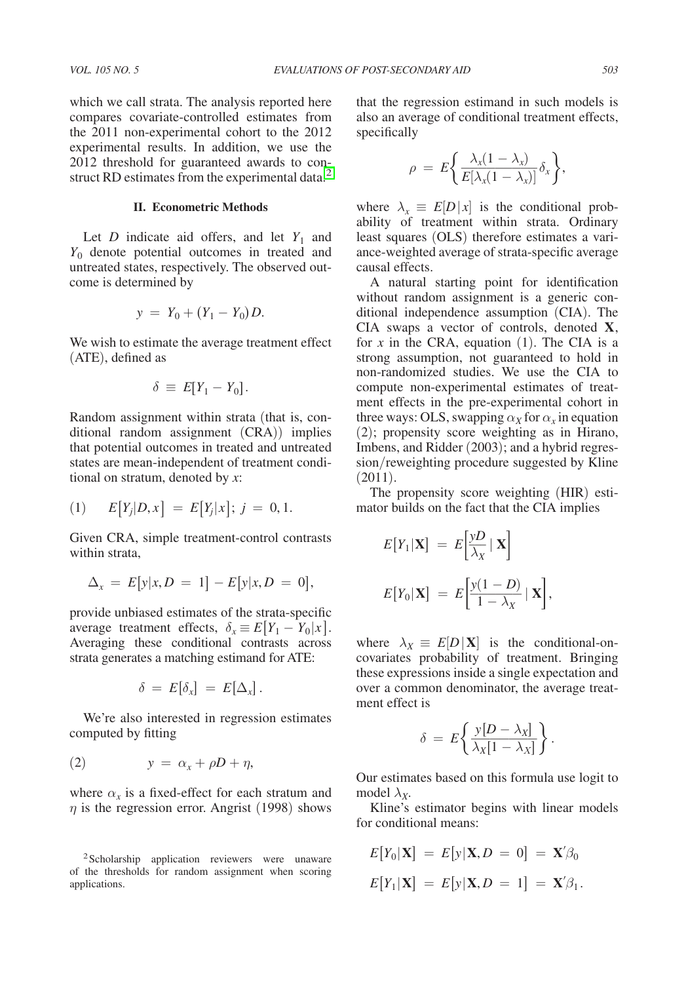### **II. Econometric Methods**

Let *D* indicate aid offers, and let  $Y_1$  and *Y*0 denote potential outcomes in treated and untreated states, respectively. The observed outcome is determined by

$$
y = Y_0 + (Y_1 - Y_0) D.
$$

We wish to estimate the average treatment effect (ATE), defined as

$$
\delta \equiv E[Y_1 - Y_0].
$$

Random assignment within strata (that is, conditional random assignment (CRA)) implies that potential outcomes in treated and untreated states are mean-independent of treatment conditional on stratum, denoted by *x*:

(1) 
$$
E[Y_j|D,x] = E[Y_j|x]; j = 0,1.
$$

Given CRA, simple treatment-control contrasts within strata,

$$
\Delta_x = E[y|x, D = 1] - E[y|x, D = 0],
$$

provide unbiased estimates of the strata-specific average treatment effects,  $\delta_x \equiv E[Y_1 - Y_0 | x]$ . Averaging these conditional contrasts across strata generates a matching estimand for ATE:

$$
\delta\ =\ E[\delta_x]\ =\ E[\Delta_x]\,.
$$

We're also interested in regression estimates computed by fitting

$$
(2) \t y = \alpha_x + \rho D + \eta,
$$

where  $\alpha_x$  is a fixed-effect for each stratum and  $\eta$  is the regression error. Angrist (1998) shows that the regression estimand in such models is also an average of conditional treatment effects, specifically

$$
\rho = E\bigg\{\frac{\lambda_x(1-\lambda_x)}{E[\lambda_x(1-\lambda_x)]}\delta_x\bigg\},\,
$$

where  $\lambda_x \equiv E[D|x|]$  is the conditional probability of treatment within strata. Ordinary least squares (OLS) therefore estimates a variance-weighted average of strata-specific average causal effects.

A natural starting point for identification without random assignment is a generic conditional independence assumption (CIA). The CIA swaps a vector of controls, denoted **X**, for  $x$  in the CRA, equation  $(1)$ . The CIA is a strong assumption, not guaranteed to hold in non-randomized studies. We use the CIA to compute non-experimental estimates of treatment effects in the pre-experimental cohort in three ways: OLS, swapping  $\alpha_X$  for  $\alpha_X$  in equation (2); propensity score weighting as in Hirano, Imbens, and Ridder (2003); and a hybrid regression/reweighting procedure suggested by Kline (2011).

The propensity score weighting (HIR) estimator builds on the fact that the CIA implies

$$
E[Y_1|\mathbf{X}] = E\left[\frac{yD}{\lambda_X} | \mathbf{X}\right]
$$

$$
E[Y_0|\mathbf{X}] = E\left[\frac{y(1-D)}{1-\lambda_X} | \mathbf{X}\right],
$$

where  $\lambda_X \equiv E[D|X]$  is the conditional-oncovariates probability of treatment. Bringing these expressions inside a single expectation and over a common denominator, the average treatment effect is

$$
\delta = E\bigg\{\frac{y[D-\lambda_X]}{\lambda_X[1-\lambda_X]}\bigg\}.
$$

Our estimates based on this formula use logit to model  $\lambda_{\mathbf{x}}$ .

Kline's estimator begins with linear models for conditional means:

$$
E[Y_0|\mathbf{X}] = E[y|\mathbf{X}, D = 0] = \mathbf{X}'\beta_0
$$
  

$$
E[Y_1|\mathbf{X}] = E[y|\mathbf{X}, D = 1] = \mathbf{X}'\beta_1.
$$

<sup>2</sup>Scholarship application reviewers were unaware of the thresholds for random assignment when scoring applications.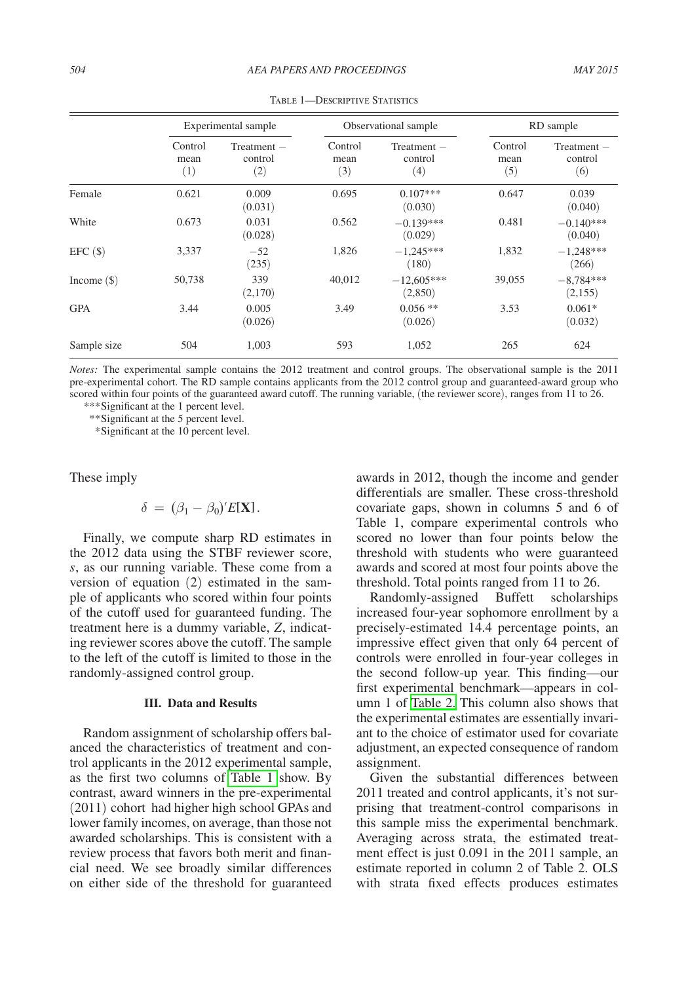|               | Experimental sample    |                                 | Observational sample   |                                 | RD sample              |                                 |
|---------------|------------------------|---------------------------------|------------------------|---------------------------------|------------------------|---------------------------------|
|               | Control<br>mean<br>(1) | $Treatment -$<br>control<br>(2) | Control<br>mean<br>(3) | $Treatment -$<br>control<br>(4) | Control<br>mean<br>(5) | $Treatment -$<br>control<br>(6) |
| Female        | 0.621                  | 0.009<br>(0.031)                | 0.695                  | $0.107***$<br>(0.030)           | 0.647                  | 0.039<br>(0.040)                |
| White         | 0.673                  | 0.031<br>(0.028)                | 0.562                  | $-0.139***$<br>(0.029)          | 0.481                  | $-0.140***$<br>(0.040)          |
| EFC(S)        | 3,337                  | $-52$<br>(235)                  | 1,826                  | $-1.245***$<br>(180)            | 1,832                  | $-1,248***$<br>(266)            |
| Income $(\$)$ | 50,738                 | 339<br>(2,170)                  | 40,012                 | $-12.605***$<br>(2,850)         | 39,055                 | $-8,784***$<br>(2, 155)         |
| <b>GPA</b>    | 3.44                   | 0.005<br>(0.026)                | 3.49                   | $0.056$ **<br>(0.026)           | 3.53                   | $0.061*$<br>(0.032)             |
| Sample size   | 504                    | 1,003                           | 593                    | 1,052                           | 265                    | 624                             |

TABLE 1-DESCRIPTIVE STATISTICS

*Notes:* The experimental sample contains the 2012 treatment and control groups. The observational sample is the 2011 pre-experimental cohort. The RD sample contains applicants from the 2012 control group and guaranteed-award group who scored within four points of the guaranteed award cutoff. The running variable, (the reviewer score), ranges from 11 to 26.

*\*\*\**Significant at the 1 percent level.

*\*\**Significant at the 5 percent level.

 *\**Significant at the 10 percent level.

These imply

$$
\delta = (\beta_1 - \beta_0)' E[\mathbf{X}].
$$

Finally, we compute sharp RD estimates in the 2012 data using the STBF reviewer score, *s*, as our running variable. These come from a version of equation (2) estimated in the sample of applicants who scored within four points of the cutoff used for guaranteed funding. The treatment here is a dummy variable, *Z*, indicating reviewer scores above the cutoff. The sample to the left of the cutoff is limited to those in the randomly-assigned control group.

#### **III. Data and Results**

Random assignment of scholarship offers balanced the characteristics of treatment and control applicants in the 2012 experimental sample, as the first two columns of Table 1 show. By contrast, award winners in the pre-experimental (2011) cohort had higher high school GPAs and lower family incomes, on average, than those not awarded scholarships. This is consistent with a review process that favors both merit and financial need. We see broadly similar differences on either side of the threshold for guaranteed

awards in 2012, though the income and gender differentials are smaller. These cross-threshold covariate gaps, shown in columns 5 and 6 of Table 1, compare experimental controls who scored no lower than four points below the threshold with students who were guaranteed awards and scored at most four points above the threshold. Total points ranged from 11 to 26.

Randomly-assigned Buffett scholarships increased four-year sophomore enrollment by a precisely-estimated 14.4 percentage points, an impressive effect given that only 64 percent of controls were enrolled in four-year colleges in the second follow-up year. This finding—our first experimental benchmark—appears in column 1 of [Table 2.](#page-3-0) This column also shows that the experimental estimates are essentially invariant to the choice of estimator used for covariate adjustment, an expected consequence of random assignment.

Given the substantial differences between 2011 treated and control applicants, it's not surprising that treatment-control comparisons in this sample miss the experimental benchmark. Averaging across strata, the estimated treatment effect is just 0.091 in the 2011 sample, an estimate reported in column 2 of Table 2. OLS with strata fixed effects produces estimates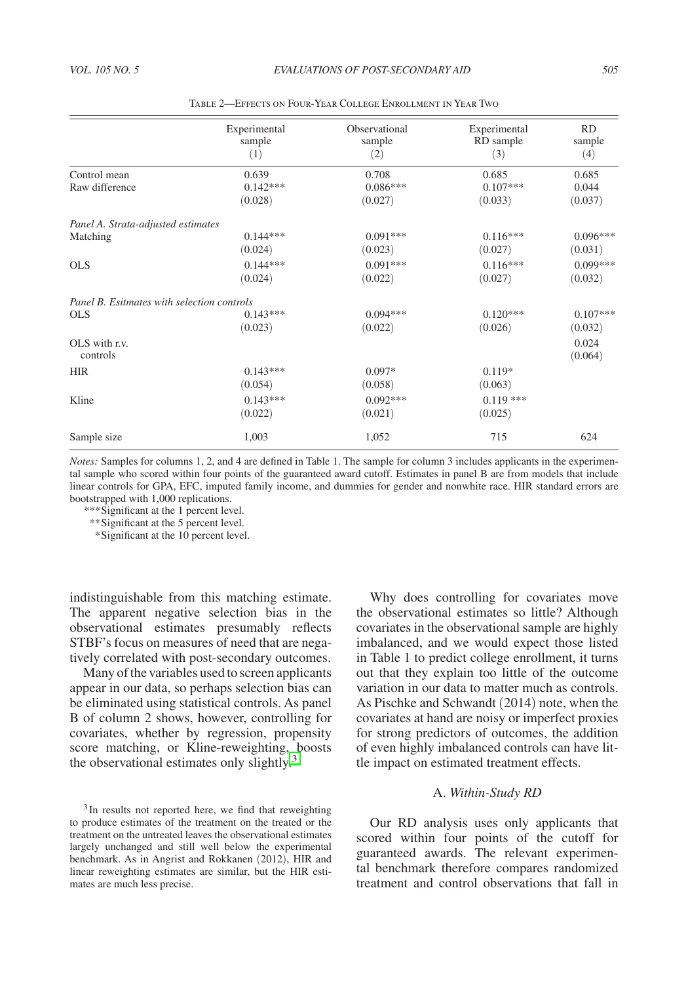<span id="page-3-0"></span>

|                                                          | Experimental<br>sample<br>(1)  | Observational<br>sample<br>(2) | Experimental<br>RD sample<br>(3) | RD<br>sample<br>(4)       |
|----------------------------------------------------------|--------------------------------|--------------------------------|----------------------------------|---------------------------|
| Control mean<br>Raw difference                           | 0.639<br>$0.142***$<br>(0.028) | 0.708<br>$0.086***$<br>(0.027) | 0.685<br>$0.107***$<br>(0.033)   | 0.685<br>0.044<br>(0.037) |
| Panel A. Strata-adjusted estimates<br>Matching           | $0.144***$<br>(0.024)          | $0.091***$<br>(0.023)          | $0.116***$<br>(0.027)            | $0.096***$<br>(0.031)     |
| <b>OLS</b>                                               | $0.144***$<br>(0.024)          | $0.091***$<br>(0.022)          | $0.116***$<br>(0.027)            | $0.099***$<br>(0.032)     |
| Panel B. Esitmates with selection controls<br><b>OLS</b> | $0.143***$<br>(0.023)          | $0.094***$<br>(0.022)          | $0.120***$<br>(0.026)            | $0.107***$<br>(0.032)     |
| OLS with r.v.<br>controls                                |                                |                                |                                  | 0.024<br>(0.064)          |
| <b>HIR</b>                                               | $0.143***$<br>(0.054)          | $0.097*$<br>(0.058)            | $0.119*$<br>(0.063)              |                           |
| Kline                                                    | $0.143***$<br>(0.022)          | $0.092***$<br>(0.021)          | $0.119***$<br>(0.025)            |                           |
| Sample size                                              | 1,003                          | 1,052                          | 715                              | 624                       |

Table 2—Effects on Four-Year College Enrollment in Year Two

*Notes:* Samples for columns 1, 2, and 4 are defined in Table 1. The sample for column 3 includes applicants in the experimental sample who scored within four points of the guaranteed award cutoff. Estimates in panel B are from models that include linear controls for GPA, EFC, imputed family income, and dummies for gender and nonwhite race. HIR standard errors are bootstrapped with 1,000 replications.

*\*\*\**Significant at the 1 percent level.

*\*\**Significant at the 5 percent level.

 *\**Significant at the 10 percent level.

indistinguishable from this matching estimate. The apparent negative selection bias in the observational estimates presumably reflects STBF's focus on measures of need that are negatively correlated with post-secondary outcomes.

Many of the variables used to screen applicants appear in our data, so perhaps selection bias can be eliminated using statistical controls. As panel B of column 2 shows, however, controlling for covariates, whether by regression, propensity score matching, or Kline-reweighting, boosts the observational estimates only slightly.<sup>3</sup>

<sup>3</sup>In results not reported here, we find that reweighting to produce estimates of the treatment on the treated or the treatment on the untreated leaves the observational estimates largely unchanged and still well below the experimental benchmark. As in Angrist and Rokkanen (2012), HIR and linear reweighting estimates are similar, but the HIR estimates are much less precise.

Why does controlling for covariates move the observational estimates so little? Although covariates in the observational sample are highly imbalanced, and we would expect those listed in Table 1 to predict college enrollment, it turns out that they explain too little of the outcome variation in our data to matter much as controls. As Pischke and Schwandt (2014) note, when the covariates at hand are noisy or imperfect proxies for strong predictors of outcomes, the addition of even highly imbalanced controls can have little impact on estimated treatment effects.

# A. *Within-Study RD*

Our RD analysis uses only applicants that scored within four points of the cutoff for guaranteed awards. The relevant experimental benchmark therefore compares randomized treatment and control observations that fall in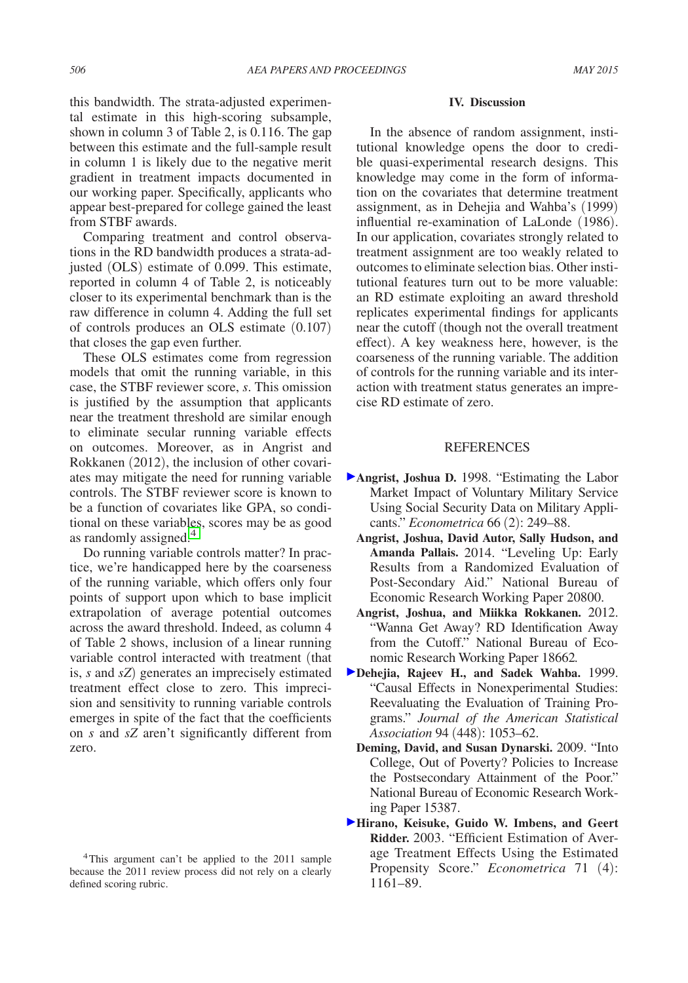this bandwidth. The strata-adjusted experimental estimate in this high-scoring subsample, shown in column 3 of Table 2, is 0.116. The gap between this estimate and the full-sample result in column 1 is likely due to the negative merit gradient in treatment impacts documented in our working paper. Specifically, applicants who appear best-prepared for college gained the least from STBF awards.

Comparing treatment and control observations in the RD bandwidth produces a strata-adjusted (OLS) estimate of 0.099. This estimate, reported in column 4 of Table 2, is noticeably closer to its experimental benchmark than is the raw difference in column 4. Adding the full set of controls produces an OLS estimate (0.107) that closes the gap even further.

These OLS estimates come from regression models that omit the running variable, in this case, the STBF reviewer score, *s*. This omission is justified by the assumption that applicants near the treatment threshold are similar enough to eliminate secular running variable effects on outcomes. Moreover, as in Angrist and Rokkanen (2012), the inclusion of other covariates may mitigate the need for running variable controls. The STBF reviewer score is known to be a function of covariates like GPA, so conditional on these variables, scores may be as good as randomly assigned.<sup>4</sup>

Do running variable controls matter? In practice, we're handicapped here by the coarseness of the running variable, which offers only four points of support upon which to base implicit extrapolation of average potential outcomes across the award threshold. Indeed, as column 4 of Table 2 shows, inclusion of a linear running variable control interacted with treatment (that is, *s* and *sZ*) generates an imprecisely estimated treatment effect close to zero. This imprecision and sensitivity to running variable controls emerges in spite of the fact that the coefficients on *s* and *sZ* aren't significantly different from zero.

#### **IV. Discussion**

In the absence of random assignment, institutional knowledge opens the door to credible quasi-experimental research designs. This knowledge may come in the form of information on the covariates that determine treatment assignment, as in Dehejia and Wahba's (1999) influential re-examination of LaLonde (1986). In our application, covariates strongly related to treatment assignment are too weakly related to outcomes to eliminate selection bias. Other institutional features turn out to be more valuable: an RD estimate exploiting an award threshold replicates experimental findings for applicants near the cutoff (though not the overall treatment effect). A key weakness here, however, is the coarseness of the running variable. The addition of controls for the running variable and its interaction with treatment status generates an imprecise RD estimate of zero.

## **REFERENCES**

- **Angrist, Joshua D.** 1998. "Estimating the Labor Market Impact of Voluntary Military Service Using Social Security Data on Military Applicants." *Econometrica* 66 (2): 249–88.
	- **Angrist, Joshua, David Autor, Sally Hudson, and Amanda Pallais.** 2014. "Leveling Up: Early Results from a Randomized Evaluation of Post-Secondary Aid." National Bureau of Economic Research Working Paper 20800.
	- **Angrist, Joshua, and Miikka Rokkanen.** 2012. "Wanna Get Away? RD Identification Away from the Cutoff." National Bureau of Economic Research Working Paper 18662*.*
- **Dehejia, Rajeev H., and Sadek Wahba.** 1999. "Causal Effects in Nonexperimental Studies: Reevaluating the Evaluation of Training Programs." *Journal of the American Statistical Association* 94 (448): 1053–62.
	- **Deming, David, and Susan Dynarski.** 2009. "Into College, Out of Poverty? Policies to Increase the Postsecondary Attainment of the Poor." National Bureau of Economic Research Working Paper 15387.
- **Hirano, Keisuke, Guido W. Imbens, and Geert Ridder.** 2003. "Efficient Estimation of Average Treatment Effects Using the Estimated Propensity Score." *Econometrica* 71 (4): 1161–89.

<sup>4</sup>This argument can't be applied to the 2011 sample because the 2011 review process did not rely on a clearly defined scoring rubric.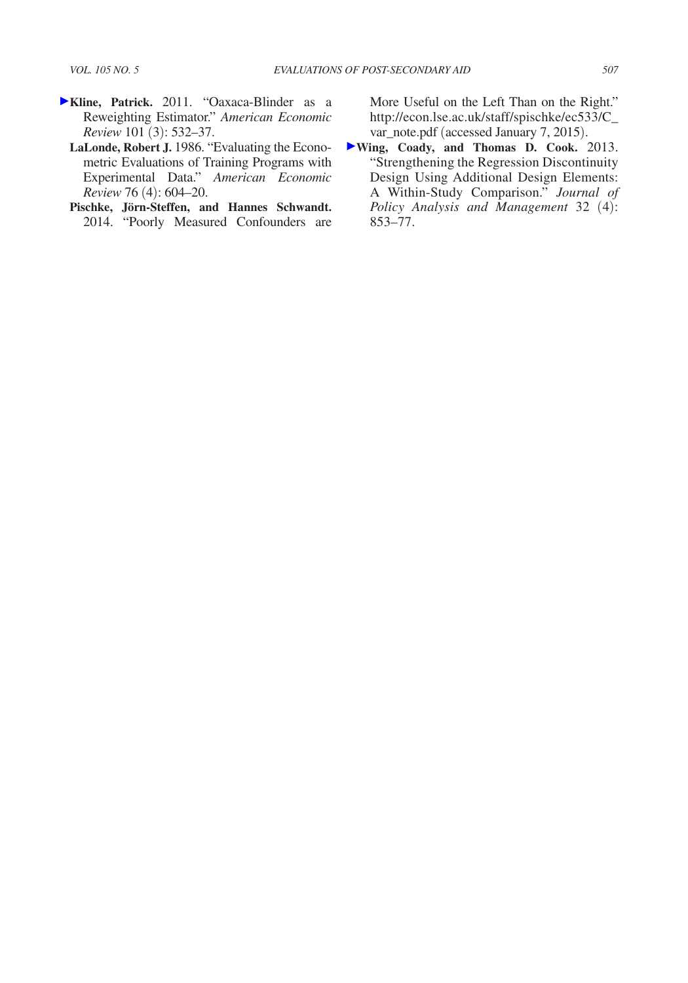- **Kline, Patrick.** 2011. "Oaxaca-Blinder as a Reweighting Estimator." *American Economic Review* 101 (3): 532–37.
	- **LaLonde, Robert J.** 1986. "Evaluating the Econometric Evaluations of Training Programs with Experimental Data." *American Economic Review* 76 (4): 604–20.
	- **Pischke, Jörn-Steffen, and Hannes Schwandt.**  2014. "Poorly Measured Confounders are

More Useful on the Left Than on the Right." [http://econ.lse.ac.uk/staff/spischke/ec533/C\\_](http://econ.lse.ac.uk/staff/spischke/ec533/C_var_note.pdf) var\_note.pdf (accessed January 7, 2015).

**Wing, Coady, and Thomas D. Cook.** 2013. "Strengthening the Regression Discontinuity Design Using Additional Design Elements: A Within-Study Comparison." *Journal of Policy Analysis and Management* 32 (4): 853–77.